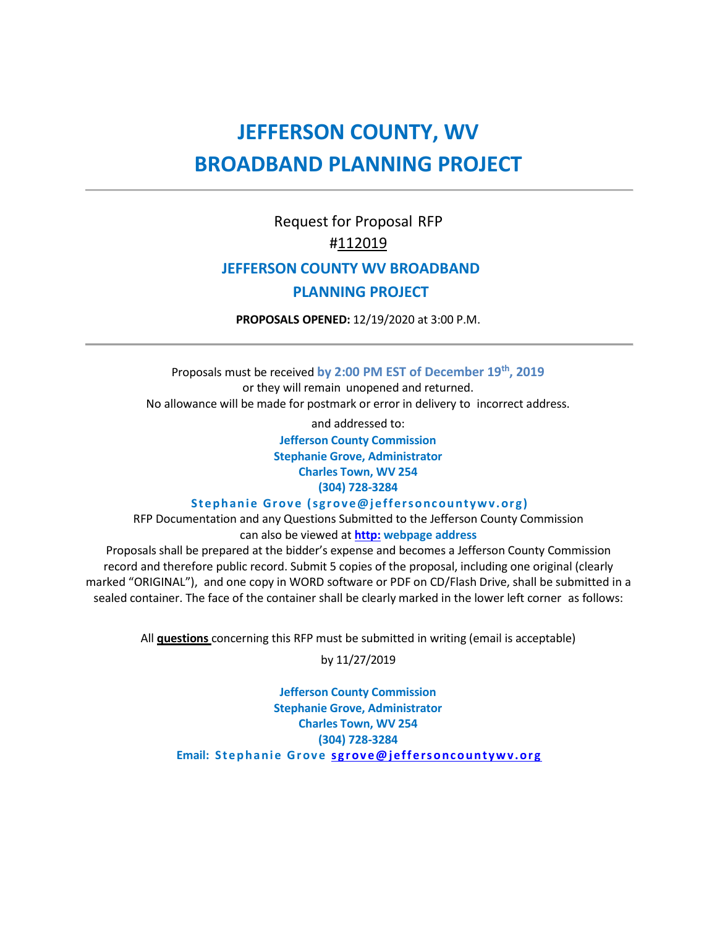# **JEFFERSON COUNTY, WV BROADBAND PLANNING PROJECT**

## Request for Proposal RFP #112019  **JEFFERSON COUNTY WV BROADBAND**

## **PLANNING PROJECT**

**PROPOSALS OPENED:** 12/19/2020 at 3:00 P.M.

Proposals must be received by 2:00 PM EST of December 19<sup>th</sup>, 2019 or they will remain unopened and returned. No allowance will be made for postmark or error in delivery to incorrect address.

and addressed to:

**Jefferson County Commission Stephanie Grove, Administrator Charles Town, WV 254 (304) 728-3284**

Stephanie Grove (sgrove@jeffersoncountywv.org)

RFP Documentation and any Questions Submitted to the Jefferson County Commission can also be viewed at **[http:](http://morgancountywv.gov/) webpage address**

Proposals shall be prepared at the bidder's expense and becomes a Jefferson County Commission record and therefore public record. Submit 5 copies of the proposal, including one original (clearly marked "ORIGINAL"), and one copy in WORD software or PDF on CD/Flash Drive, shall be submitted in a sealed container. The face of the container shall be clearly marked in the lower left corner as follows:

All **questions** concerning this RFP must be submitted in writing (email is acceptable)

by 11/27/2019

**Jefferson County Commission Stephanie Grove, Administrator Charles Town, WV 254 (304) 728-3284 Email: Stephanie Grove sgrove@jeffersoncountywv.org**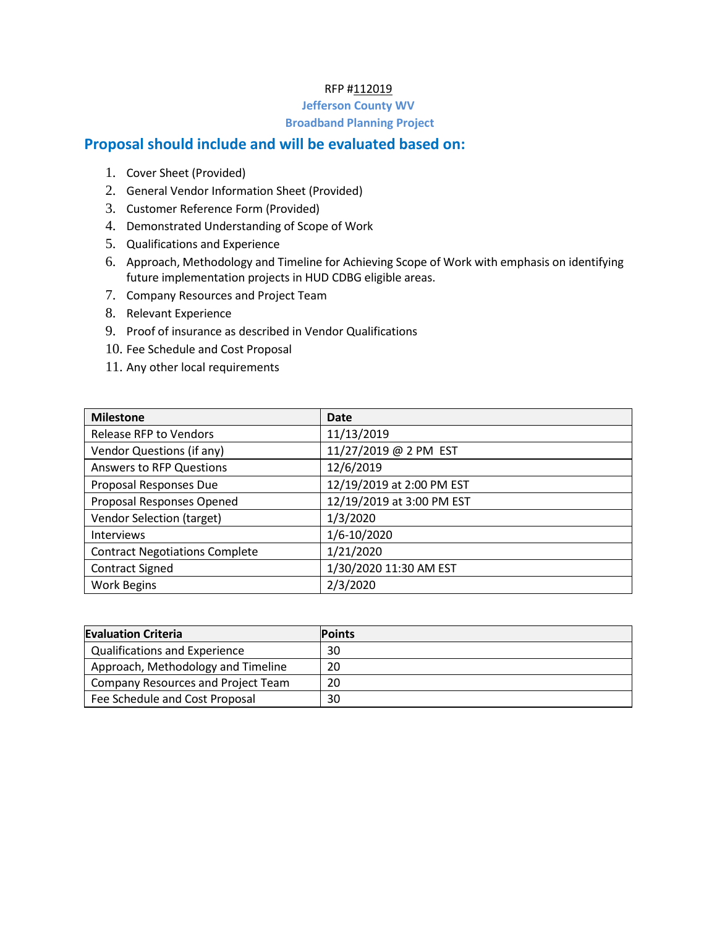### RFP #112019

### **Jefferson County WV Broadband Planning Project**

## **Proposal should include and will be evaluated based on:**

- 1. Cover Sheet (Provided)
- 2. General Vendor Information Sheet (Provided)
- 3. Customer Reference Form (Provided)
- 4. Demonstrated Understanding of Scope of Work
- 5. Qualifications and Experience
- 6. Approach, Methodology and Timeline for Achieving Scope of Work with emphasis on identifying future implementation projects in HUD CDBG eligible areas.
- 7. Company Resources and Project Team
- 8. Relevant Experience
- 9. Proof of insurance as described in Vendor Qualifications
- 10. Fee Schedule and Cost Proposal
- 11. Any other local requirements

| <b>Milestone</b>                      | Date                      |
|---------------------------------------|---------------------------|
| Release RFP to Vendors                | 11/13/2019                |
| Vendor Questions (if any)             | 11/27/2019 @ 2 PM EST     |
| <b>Answers to RFP Questions</b>       | 12/6/2019                 |
| Proposal Responses Due                | 12/19/2019 at 2:00 PM EST |
| Proposal Responses Opened             | 12/19/2019 at 3:00 PM EST |
| <b>Vendor Selection (target)</b>      | 1/3/2020                  |
| <b>Interviews</b>                     | 1/6-10/2020               |
| <b>Contract Negotiations Complete</b> | 1/21/2020                 |
| <b>Contract Signed</b>                | 1/30/2020 11:30 AM EST    |
| <b>Work Begins</b>                    | 2/3/2020                  |

| <b>Evaluation Criteria</b>           | <b>Points</b> |
|--------------------------------------|---------------|
| <b>Qualifications and Experience</b> | 30            |
| Approach, Methodology and Timeline   | 20            |
| Company Resources and Project Team   | 20            |
| Fee Schedule and Cost Proposal       | 30            |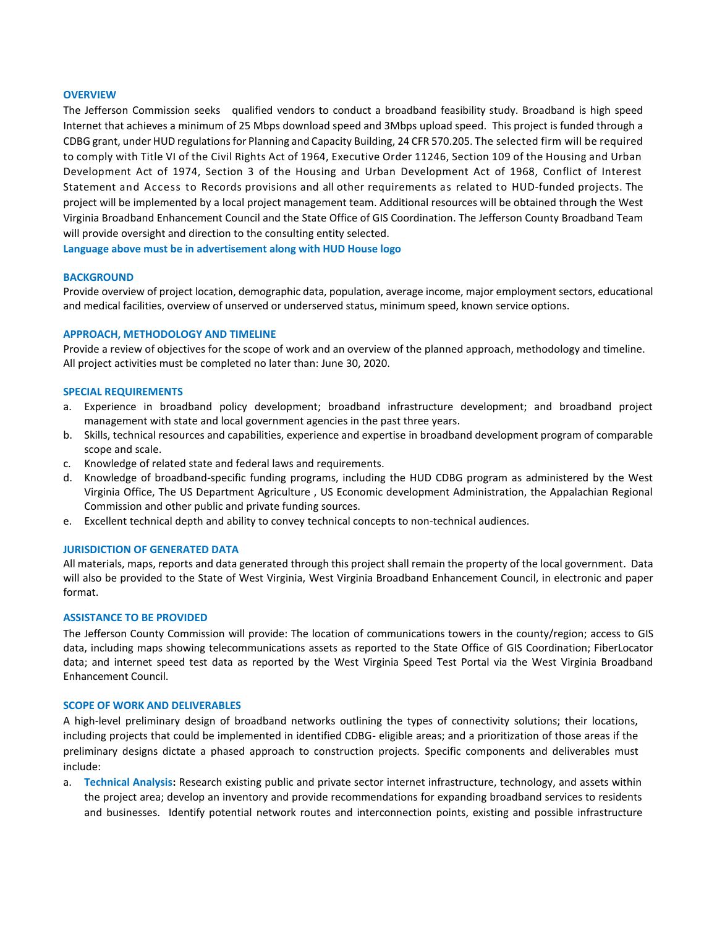#### **OVERVIEW**

The Jefferson Commission seeks qualified vendors to conduct a broadband feasibility study. Broadband is high speed Internet that achieves a minimum of 25 Mbps download speed and 3Mbps upload speed.This project is funded through a CDBG grant, under HUD regulations for Planning and Capacity Building, 24 CFR 570.205. The selected firm will be required to comply with Title VI of the Civil Rights Act of 1964, Executive Order 11246, Section 109 of the Housing and Urban Development Act of 1974, Section 3 of the Housing and Urban Development Act of 1968, Conflict of Interest Statement and Access to Records provisions and all other requirements as related to HUD-funded projects. The project will be implemented by a local project management team. Additional resources will be obtained through the West Virginia Broadband Enhancement Council and the State Office of GIS Coordination. The Jefferson County Broadband Team will provide oversight and direction to the consulting entity selected.

**Language above must be in advertisement along with HUD House logo**

#### **BACKGROUND**

Provide overview of project location, demographic data, population, average income, major employment sectors, educational and medical facilities, overview of unserved or underserved status, minimum speed, known service options.

#### **APPROACH, METHODOLOGY AND TIMELINE**

Provide a review of objectives for the scope of work and an overview of the planned approach, methodology and timeline. All project activities must be completed no later than: June 30, 2020.

#### **SPECIAL REQUIREMENTS**

- a. Experience in broadband policy development; broadband infrastructure development; and broadband project management with state and local government agencies in the past three years.
- b. Skills, technical resources and capabilities, experience and expertise in broadband development program of comparable scope and scale.
- c. Knowledge of related state and federal laws and requirements.
- d. Knowledge of broadband-specific funding programs, including the HUD CDBG program as administered by the West Virginia Office, The US Department Agriculture , US Economic development Administration, the Appalachian Regional Commission and other public and private funding sources.
- e. Excellent technical depth and ability to convey technical concepts to non-technical audiences.

#### **JURISDICTION OF GENERATED DATA**

All materials, maps, reports and data generated through this project shall remain the property of the local government. Data will also be provided to the State of West Virginia, West Virginia Broadband Enhancement Council, in electronic and paper format.

#### **ASSISTANCE TO BE PROVIDED**

The Jefferson County Commission will provide: The location of communications towers in the county/region; access to GIS data, including maps showing telecommunications assets as reported to the State Office of GIS Coordination; FiberLocator data; and internet speed test data as reported by the West Virginia Speed Test Portal via the West Virginia Broadband Enhancement Council.

#### **SCOPE OF WORK AND DELIVERABLES**

A high-level preliminary design of broadband networks outlining the types of connectivity solutions; their locations, including projects that could be implemented in identified CDBG- eligible areas; and a prioritization of those areas if the preliminary designs dictate a phased approach to construction projects. Specific components and deliverables must include:

a. **Technical Analysis:** Research existing public and private sector internet infrastructure, technology, and assets within the project area; develop an inventory and provide recommendations for expanding broadband services to residents and businesses. Identify potential network routes and interconnection points, existing and possible infrastructure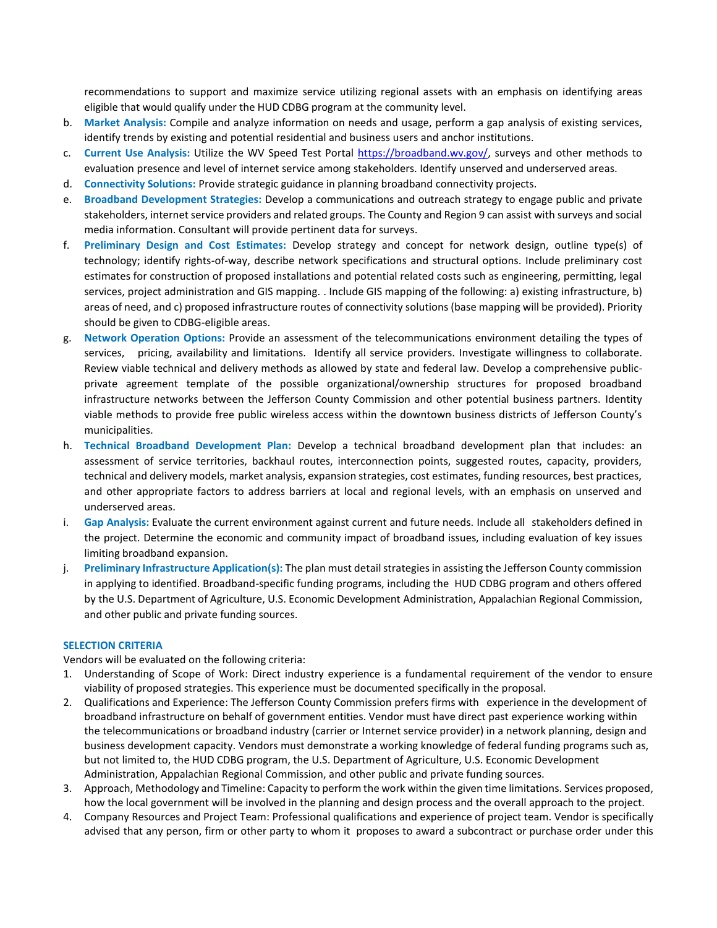recommendations to support and maximize service utilizing regional assets with an emphasis on identifying areas eligible that would qualify under the HUD CDBG program at the community level.

- b. **Market Analysis:** Compile and analyze information on needs and usage, perform a gap analysis of existing services, identify trends by existing and potential residential and business users and anchor institutions.
- c. **Current Use Analysis:** Utilize the WV Speed Test Portal [https://broadband.wv.gov/,](https://broadband.wv.gov/) surveys and other methods to evaluation presence and level of internet service among stakeholders. Identify unserved and underserved areas.
- d. **Connectivity Solutions:** Provide strategic guidance in planning broadband connectivity projects.
- e. **Broadband Development Strategies:** Develop a communications and outreach strategy to engage public and private stakeholders, internet service providers and related groups. The County and Region 9 can assist with surveys and social media information. Consultant will provide pertinent data for surveys.
- f. **Preliminary Design and Cost Estimates:** Develop strategy and concept for network design, outline type(s) of technology; identify rights-of-way, describe network specifications and structural options. Include preliminary cost estimates for construction of proposed installations and potential related costs such as engineering, permitting, legal services, project administration and GIS mapping. . Include GIS mapping of the following: a) existing infrastructure, b) areas of need, and c) proposed infrastructure routes of connectivity solutions (base mapping will be provided). Priority should be given to CDBG-eligible areas.
- g. **Network Operation Options:** Provide an assessment of the telecommunications environment detailing the types of services, pricing, availability and limitations. Identify all service providers. Investigate willingness to collaborate. Review viable technical and delivery methods as allowed by state and federal law. Develop a comprehensive publicprivate agreement template of the possible organizational/ownership structures for proposed broadband infrastructure networks between the Jefferson County Commission and other potential business partners. Identity viable methods to provide free public wireless access within the downtown business districts of Jefferson County's municipalities.
- h. **Technical Broadband Development Plan:** Develop a technical broadband development plan that includes: an assessment of service territories, backhaul routes, interconnection points, suggested routes, capacity, providers, technical and delivery models, market analysis, expansion strategies, cost estimates, funding resources, best practices, and other appropriate factors to address barriers at local and regional levels, with an emphasis on unserved and underserved areas.
- i. **Gap Analysis:** Evaluate the current environment against current and future needs. Include all stakeholders defined in the project. Determine the economic and community impact of broadband issues, including evaluation of key issues limiting broadband expansion.
- j. **Preliminary Infrastructure Application(s):** The plan must detail strategies in assisting the Jefferson County commission in applying to identified. Broadband-specific funding programs, including the HUD CDBG program and others offered by the U.S. Department of Agriculture, U.S. Economic Development Administration, Appalachian Regional Commission, and other public and private funding sources.

#### **SELECTION CRITERIA**

Vendors will be evaluated on the following criteria:

- 1. Understanding of Scope of Work: Direct industry experience is a fundamental requirement of the vendor to ensure viability of proposed strategies. This experience must be documented specifically in the proposal.
- 2. Qualifications and Experience: The Jefferson County Commission prefers firms with experience in the development of broadband infrastructure on behalf of government entities. Vendor must have direct past experience working within the telecommunications or broadband industry (carrier or Internet service provider) in a network planning, design and business development capacity. Vendors must demonstrate a working knowledge of federal funding programs such as, but not limited to, the HUD CDBG program, the U.S. Department of Agriculture, U.S. Economic Development Administration, Appalachian Regional Commission, and other public and private funding sources.
- 3. Approach, Methodology and Timeline: Capacity to perform the work within the given time limitations. Services proposed, how the local government will be involved in the planning and design process and the overall approach to the project.
- 4. Company Resources and Project Team: Professional qualifications and experience of project team. Vendor is specifically advised that any person, firm or other party to whom it proposes to award a subcontract or purchase order under this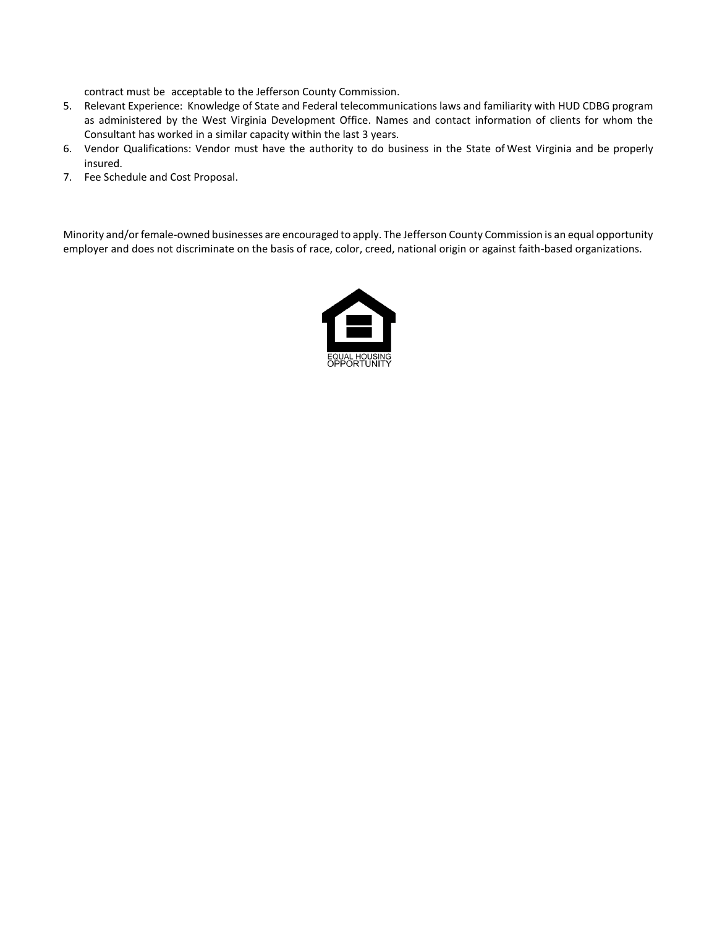contract must be acceptable to the Jefferson County Commission.

- 5. Relevant Experience: Knowledge of State and Federal telecommunications laws and familiarity with HUD CDBG program as administered by the West Virginia Development Office. Names and contact information of clients for whom the Consultant has worked in a similar capacity within the last 3 years.
- 6. Vendor Qualifications: Vendor must have the authority to do business in the State of West Virginia and be properly insured.
- 7. Fee Schedule and Cost Proposal.

Minority and/or female-owned businesses are encouraged to apply. The Jefferson County Commission is an equal opportunity employer and does not discriminate on the basis of race, color, creed, national origin or against faith-based organizations.

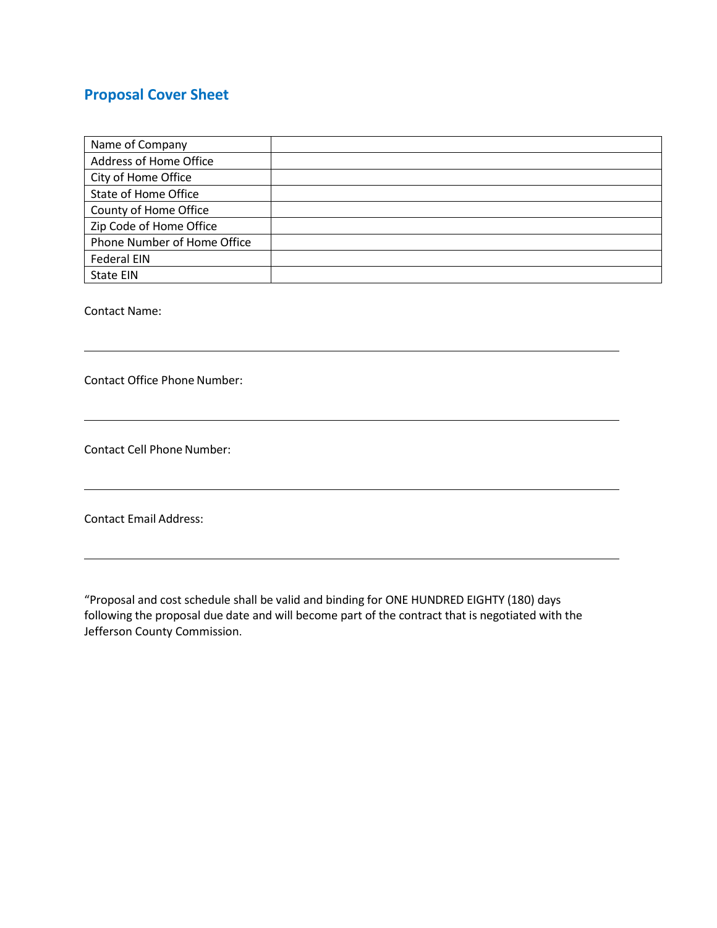## **Proposal Cover Sheet**

| Name of Company             |  |
|-----------------------------|--|
| Address of Home Office      |  |
| City of Home Office         |  |
| State of Home Office        |  |
| County of Home Office       |  |
| Zip Code of Home Office     |  |
| Phone Number of Home Office |  |
| <b>Federal EIN</b>          |  |
| State EIN                   |  |

Contact Name:

Contact Office Phone Number:

Contact Cell Phone Number:

Contact Email Address:

"Proposal and cost schedule shall be valid and binding for ONE HUNDRED EIGHTY (180) days following the proposal due date and will become part of the contract that is negotiated with the Jefferson County Commission.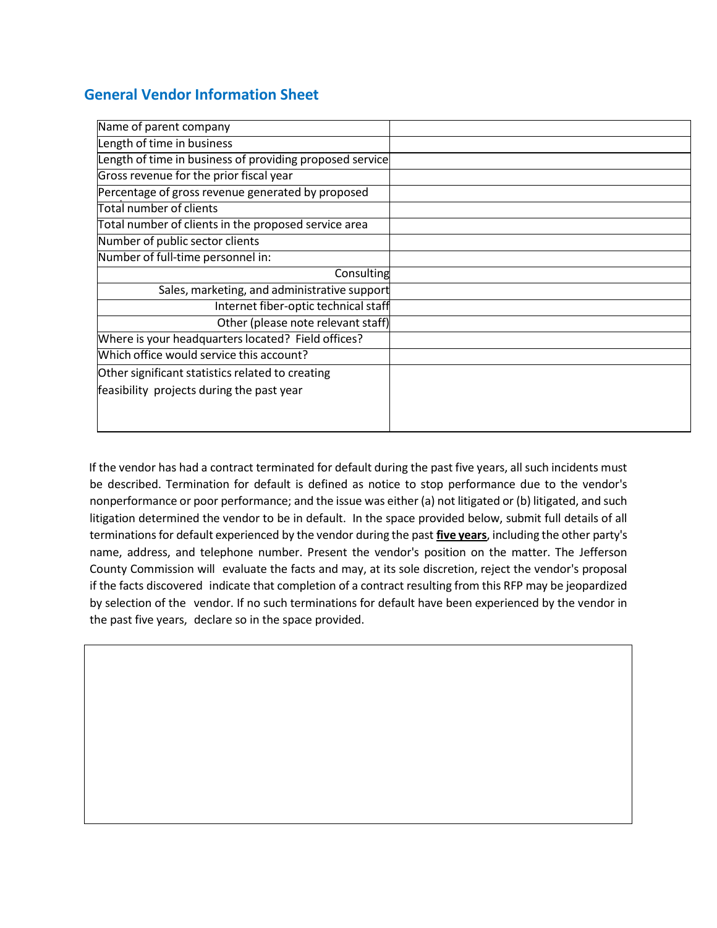## **General Vendor Information Sheet**

| Name of parent company                                   |  |
|----------------------------------------------------------|--|
| Length of time in business                               |  |
| Length of time in business of providing proposed service |  |
| Gross revenue for the prior fiscal year                  |  |
| Percentage of gross revenue generated by proposed        |  |
| Total number of clients                                  |  |
| Total number of clients in the proposed service area     |  |
| Number of public sector clients                          |  |
| Number of full-time personnel in:                        |  |
| Consulting                                               |  |
| Sales, marketing, and administrative support             |  |
| Internet fiber-optic technical staff                     |  |
| Other (please note relevant staff)                       |  |
| Where is your headquarters located? Field offices?       |  |
| Which office would service this account?                 |  |
| Other significant statistics related to creating         |  |
| feasibility projects during the past year                |  |
|                                                          |  |
|                                                          |  |

If the vendor has had a contract terminated for default during the past five years, all such incidents must be described. Termination for default is defined as notice to stop performance due to the vendor's nonperformance or poor performance; and the issue was either (a) not litigated or (b) litigated, and such litigation determined the vendor to be in default. In the space provided below, submit full details of all terminationsfor default experienced by the vendor during the past **five years**, including the other party's name, address, and telephone number. Present the vendor's position on the matter. The Jefferson County Commission will evaluate the facts and may, at its sole discretion, reject the vendor's proposal if the facts discovered indicate that completion of a contract resulting from this RFP may be jeopardized by selection of the vendor. If no such terminations for default have been experienced by the vendor in the past five years, declare so in the space provided.